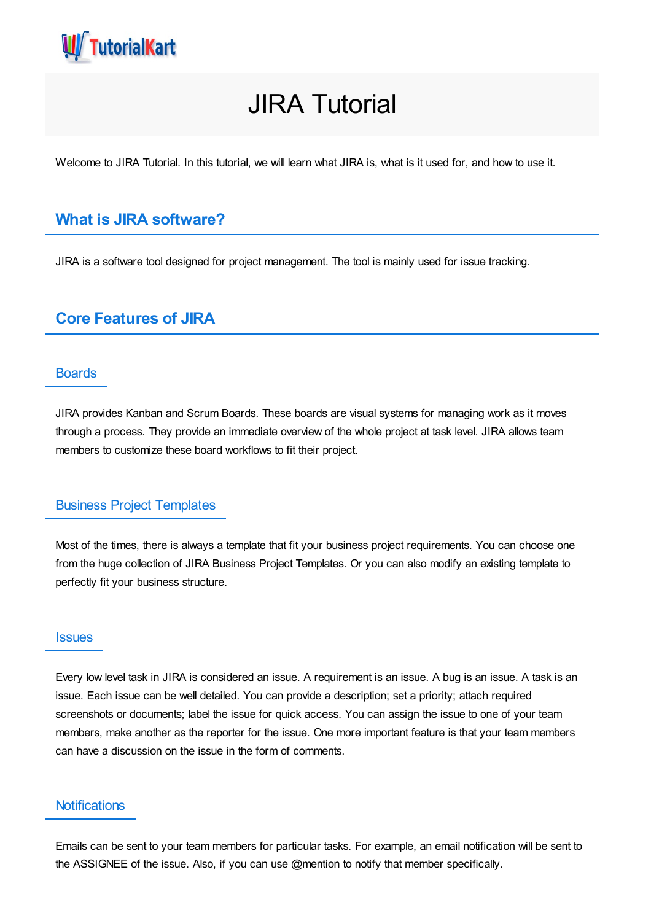

# JIRA Tutorial

Welcome to JIRA Tutorial. In this tutorial, we will learn what JIRA is, what is it used for, and how to use it.

# **What is JIRA software?**

JIRA is a software tool designed for project management. The tool is mainly used for issue tracking.

# **Core Features of JIRA**

#### **Boards**

JIRA provides Kanban and Scrum Boards. These boards are visual systems for managing work as it moves through a process. They provide an immediate overview of the whole project at task level. JIRA allows team members to customize these board workflows to fit their project.

#### Business Project Templates

Most of the times, there is always a template that fit your business project requirements. You can choose one from the huge collection of JIRA Business Project Templates. Or you can also modify an existing template to perfectly fit your business structure.

#### **Issues**

Every low level task in JIRA is considered an issue. A requirement is an issue. A bug is an issue. A task is an issue. Each issue can be well detailed. You can provide a description; set a priority; attach required screenshots or documents; label the issue for quick access. You can assign the issue to one of your team members, make another as the reporter for the issue. One more important feature is that your team members can have a discussion on the issue in the form of comments.

#### **Notifications**

Emails can be sent to your team members for particular tasks. For example, an email notification will be sent to the ASSIGNEE of the issue. Also, if you can use @mention to notify that member specifically.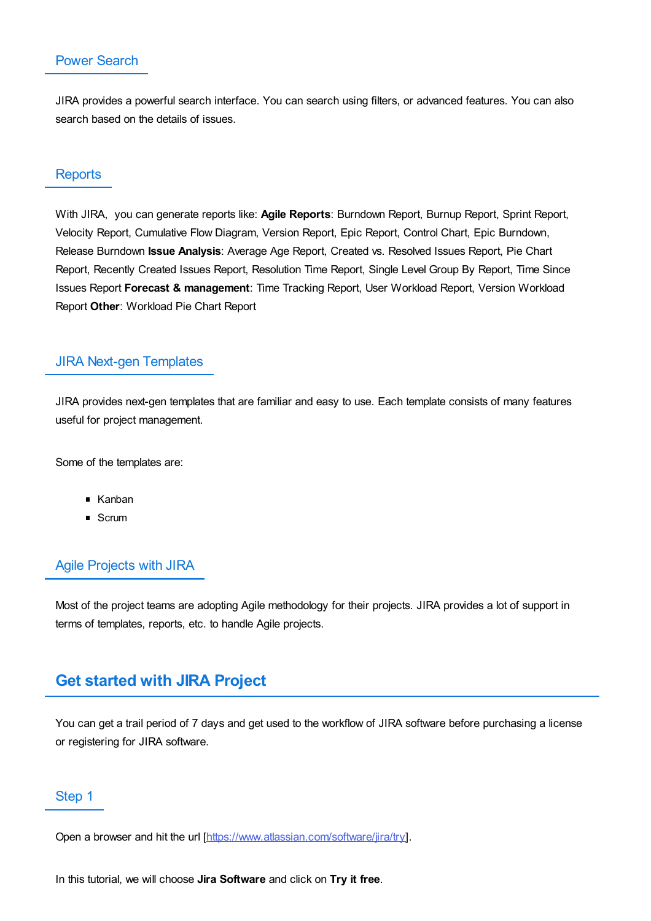## Power Search

JIRA provides a powerful search interface. You can search using filters, or advanced features. You can also search based on the details of issues.

#### **Reports**

With JIRA, you can generate reports like: **Agile Reports**: Burndown Report, Burnup Report, Sprint Report, Velocity Report, Cumulative Flow Diagram, Version Report, Epic Report, Control Chart, Epic Burndown, Release Burndown **Issue Analysis**: Average Age Report, Created vs. Resolved Issues Report, Pie Chart Report, Recently Created Issues Report, Resolution Time Report, Single Level Group By Report, Time Since Issues Report **Forecast & management**: Time Tracking Report, User Workload Report, Version Workload Report **Other**: Workload Pie Chart Report

#### JIRA Next-gen Templates

JIRA provides next-gen templates that are familiar and easy to use. Each template consists of many features useful for project management.

Some of the templates are:

- Kanban
- Scrum

### Agile Projects with JIRA

Most of the project teams are adopting Agile methodology for their projects. JIRA provides a lot of support in terms of templates, reports, etc. to handle Agile projects.

# **Get started with JIRA Project**

You can get a trail period of 7 days and get used to the workflow of JIRA software before purchasing a license or registering for JIRA software.

#### Step 1

Open a browser and hit the url [\[https://www.atlassian.com/software/jira/try](https://www.atlassian.com/software/jira/try)].

In this tutorial, we will choose **Jira Software** and click on **Try it free**.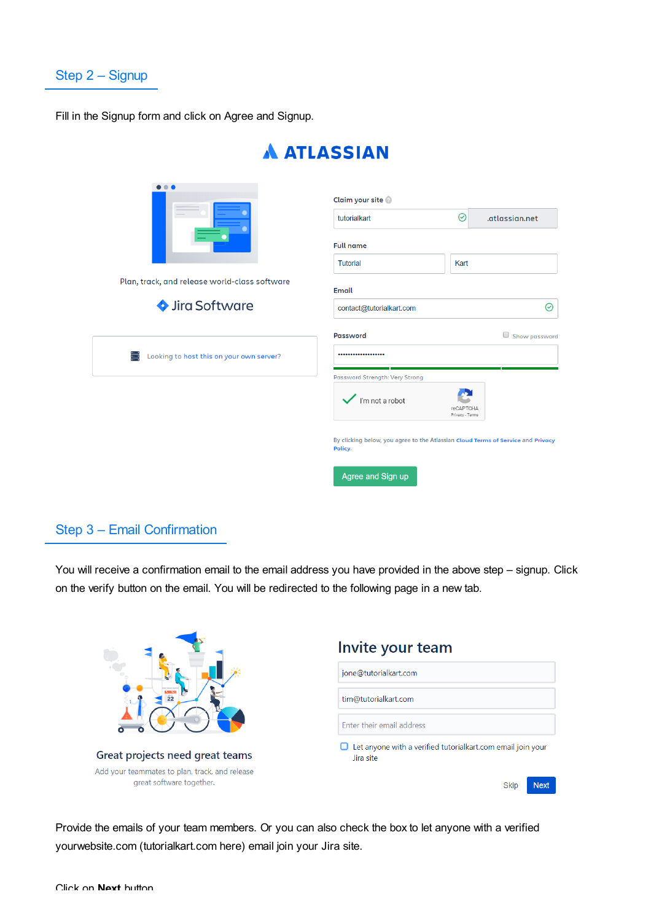

Fill in the Signup form and click on Agree and Signup.

| $\bullet\bullet\bullet$                       | Claim your site                                                                             |                              |                |  |
|-----------------------------------------------|---------------------------------------------------------------------------------------------|------------------------------|----------------|--|
|                                               | tutorialkart                                                                                | $\odot$                      | .atlassian.net |  |
|                                               | <b>Full name</b>                                                                            |                              |                |  |
|                                               | <b>Tutorial</b>                                                                             | Kart                         |                |  |
| Plan, track, and release world-class software | Email                                                                                       |                              |                |  |
| Sira Software                                 | contact@tutorialkart.com                                                                    |                              | ⊘              |  |
| ≕<br>Looking to host this on your own server? | <b>Password</b><br>                                                                         |                              | Show password  |  |
|                                               | Password Strength: Very Strong                                                              |                              |                |  |
|                                               | $\checkmark$ l'm not a robot                                                                | reCAPTCHA<br>Privacy - Terms |                |  |
|                                               | By clicking below, you agree to the Atlassian Cloud Terms of Service and Privacy<br>Policy. |                              |                |  |
|                                               | Agree and Sign up                                                                           |                              |                |  |

# **A ATLASSIAN**

# Step 3 – Email Confirmation

You will receive a confirmation email to the email address you have provided in the above step - signup. Click on the verify button on the email. You will be redirected to the following page in a new tab.

|                                                                            | Invite your team                                                         |  |
|----------------------------------------------------------------------------|--------------------------------------------------------------------------|--|
| $\sim$<br>$\overline{22}$                                                  | jone@tutorialkart.com                                                    |  |
|                                                                            | tim@tutorialkart.com                                                     |  |
|                                                                            | Enter their email address                                                |  |
| Great projects need great teams                                            | Let anyone with a verified tutorialkart.com email join your<br>Jira site |  |
| Add your teammates to plan, track, and release<br>great software together. | <b>Next</b><br><b>Skip</b>                                               |  |

Provide the emails of your team members. Or you can also check the box to let anyone with a verified yourwebsite.com (tutorialkart.com here) email join your Jira site.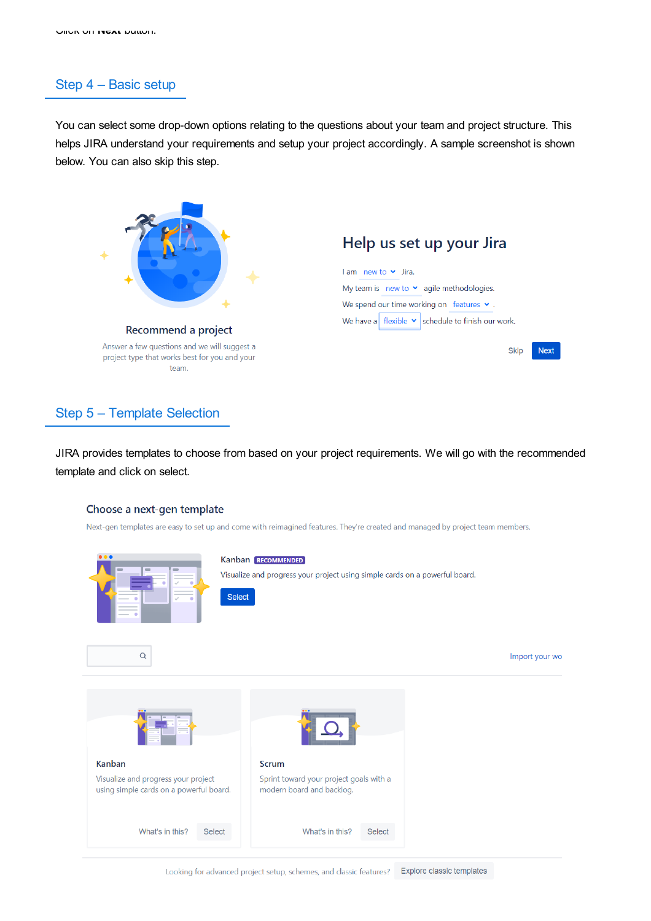## Step 4 – Basic setup

You can select some drop-down options relating to the questions about your team and project structure. This helps JIRA understand your requirements and setup your project accordingly. A sample screenshot is shown below. You can also skip this step.



## Step 5 – Template Selection

JIRA provides templates to choose from based on your project requirements. We will go with the recommended template and click on select.

#### Choose a next-gen template

Next-gen templates are easy to set up and come with reimagined features. They're created and managed by project team members.

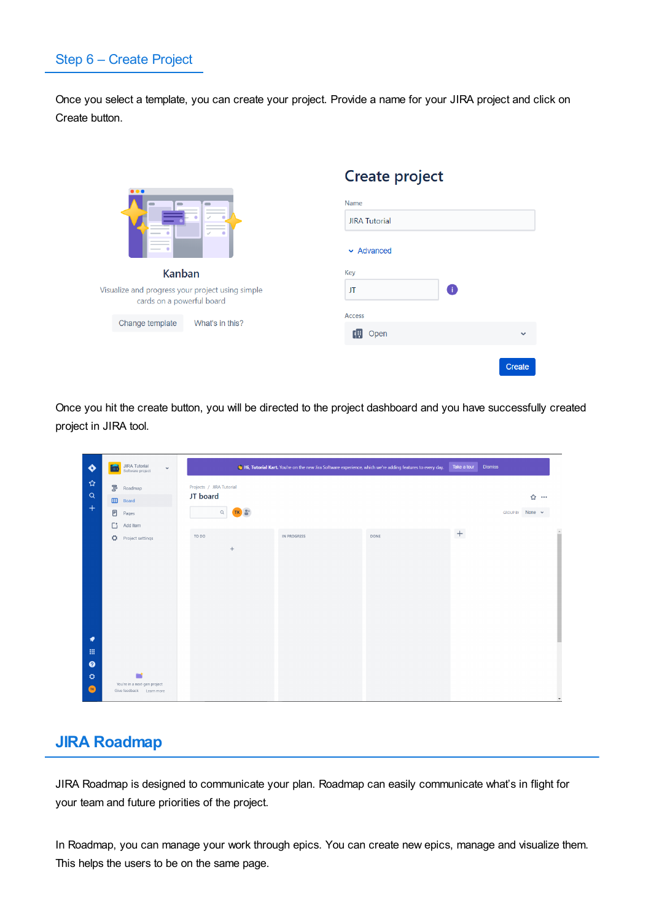# Step 6 – Create Project

Once you select a template, you can create your project. Provide a name for your JIRA project and click on Create button.

|                                                                                    | Create project                 |        |
|------------------------------------------------------------------------------------|--------------------------------|--------|
| .<br>$\qquad \qquad \blacksquare$<br>$\qquad \qquad \blacksquare$<br>$\mathcal{S}$ | Name                           |        |
|                                                                                    | <b>JIRA Tutorial</b>           |        |
|                                                                                    | $\blacktriangleright$ Advanced |        |
| <b>Kanban</b>                                                                      | Key                            |        |
| Visualize and progress your project using simple<br>cards on a powerful board      | Ŧ<br>JT                        |        |
| Change template<br>What's in this?                                                 | <b>Access</b>                  |        |
|                                                                                    | 碉<br>Open                      |        |
|                                                                                    |                                |        |
|                                                                                    |                                | Create |

Once you hit the create button, you will be directed to the project dashboard and you have successfully created project in JIRA tool.

| ♦                                                                   | JIRA Tutorial<br>Software project<br>$\checkmark$<br>                                   | Take a tour<br><b>Dismiss</b><br>Hi, Tutorial Kart. You're on the new Jira Software experience, which we're adding features to every day. |
|---------------------------------------------------------------------|-----------------------------------------------------------------------------------------|-------------------------------------------------------------------------------------------------------------------------------------------|
| ☆<br>$\alpha$<br>$^{+}$                                             | $\mathbb{S}^0$<br>Roadmap<br>$\square$<br>Board<br>$\boxdot$<br>Pages<br>Гì<br>Add item | Projects / JIRA Tutorial<br>JT board<br>☆ …<br>$\hbox{Q}$<br>None $\sim$<br><b>GROUP BY</b>                                               |
|                                                                     | ۰<br>Project settings                                                                   | $^+$<br>TO DO<br>DONE<br>IN PROGRESS<br>$+$                                                                                               |
| ۰<br>冊<br>$\bullet$<br>$\ddot{\mathbf{Q}}$<br>$\left($ TK $\right)$ | You're in a next-gen project<br>Give feedback Learn more                                |                                                                                                                                           |

# **JIRA Roadmap**

JIRA Roadmap is designed to communicate your plan. Roadmap can easily communicate what's in flight for your team and future priorities of the project.

In Roadmap, you can manage your work through epics. You can create new epics, manage and visualize them. This helps the users to be on the same page.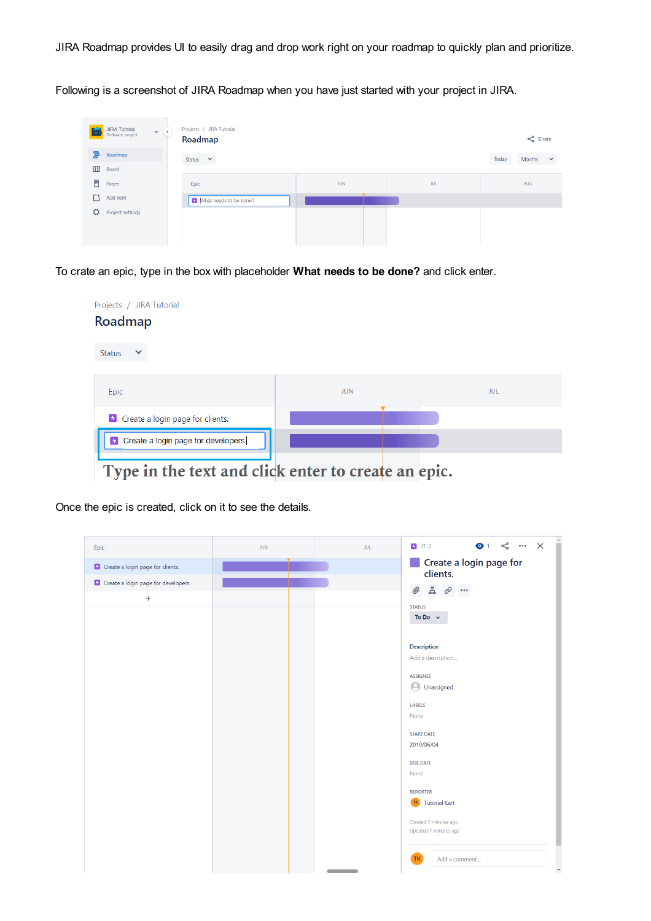JIRA Roadmap provides UI to easily drag and drop work right on your roadmap to quickly plan and prioritize.

Following is a screenshot of JIRA Roadmap when you have just started with your project in JIRA.

| <b>JIRA Tutorial</b><br>Software project | $\mathbf{v}(\epsilon)$ | Projects / JIRA Tutorial<br>Roadmap |            |            |       | $\leq$ Share |              |
|------------------------------------------|------------------------|-------------------------------------|------------|------------|-------|--------------|--------------|
| ᇢ<br>Roadmap                             |                        | Status $\vee$                       |            |            | Today | Months       | $\checkmark$ |
| $\qquad \qquad \Box$<br>Board            |                        |                                     |            |            |       |              |              |
| E<br>Pages                               |                        | Epic                                | <b>JUN</b> | <b>JUL</b> |       | AUG          |              |
| Гt.<br>Add item                          |                        | Mhat needs to be done?              |            |            |       |              |              |
| ٥<br>Project settings                    |                        |                                     |            |            |       |              |              |
|                                          |                        |                                     |            |            |       |              |              |
|                                          |                        |                                     |            |            |       |              |              |

To crate an epic, type in the box with placeholder **What needs to be done?** and click enter.



Once the epic is created, click on it to see the details.

| Epic                                         | <b>JUN</b> | <b>JUL</b> | $\bullet$ 1 $\leq$ $\cdots$ $\times$<br>$J - 2$                                            |  |
|----------------------------------------------|------------|------------|--------------------------------------------------------------------------------------------|--|
| <b>D</b> Create a login page for clients.    |            |            | Create a login page for<br>clients.                                                        |  |
| <b>b</b> Create a login page for developers. |            |            | $\begin{array}{ccccc}\n\mathbb{Z} & \mathcal{O} & \cdots\n\end{array}$<br>$^{\mathscr{Q}}$ |  |
| $^{+}$                                       |            |            |                                                                                            |  |
|                                              |            |            | <b>STATUS</b><br>To Do $\sim$                                                              |  |
|                                              |            |            |                                                                                            |  |
|                                              |            |            | Description                                                                                |  |
|                                              |            |            | Add a description                                                                          |  |
|                                              |            |            | <b>ASSIGNEE</b>                                                                            |  |
|                                              |            |            | <b>O</b> Unassigned                                                                        |  |
|                                              |            |            |                                                                                            |  |
|                                              |            |            | <b>LABELS</b><br>None                                                                      |  |
|                                              |            |            |                                                                                            |  |
|                                              |            |            | <b>START DATE</b>                                                                          |  |
|                                              |            |            | 2019/06/04                                                                                 |  |
|                                              |            |            | <b>DUE DATE</b>                                                                            |  |
|                                              |            |            | None                                                                                       |  |
|                                              |            |            | <b>REPORTER</b>                                                                            |  |
|                                              |            |            | TK.<br><b>Tutorial Kart</b>                                                                |  |
|                                              |            |            | Created 7 minutes ago                                                                      |  |
|                                              |            |            | Updated 7 minutes ago                                                                      |  |
|                                              |            |            |                                                                                            |  |
|                                              |            |            | <b>TK</b><br>Add a comment                                                                 |  |
|                                              |            |            | $\overline{\phantom{a}}$                                                                   |  |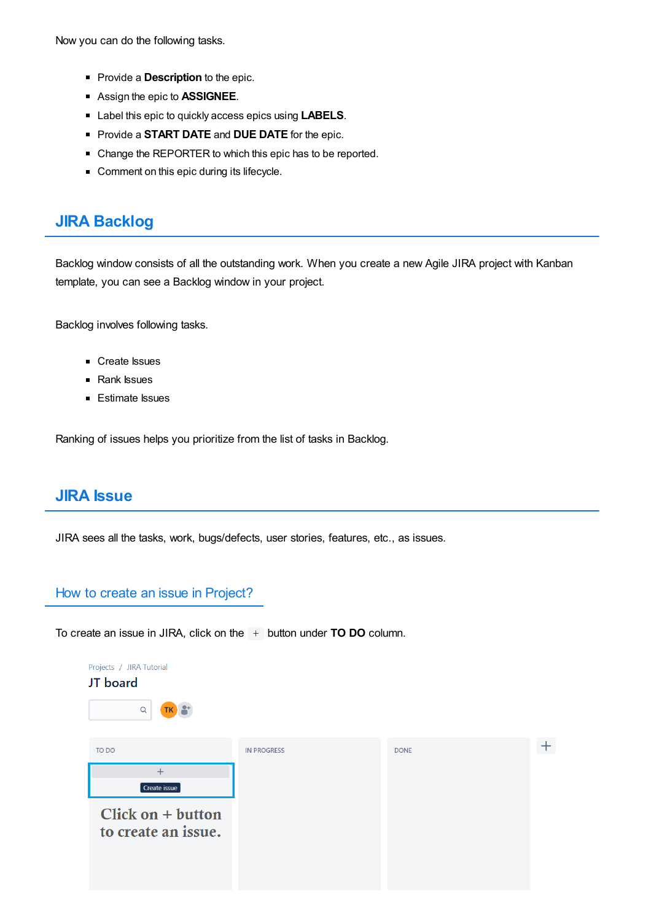Now you can do the following tasks.

- **Provide a Description to the epic.**
- Assign the epic to **ASSIGNEE**.
- Label this epic to quickly access epics using **LABELS**.
- Provide a **START DATE** and **DUE DATE** for the epic.
- Change the REPORTER to which this epic has to be reported.
- Comment on this epic during its lifecycle.

## **JIRA Backlog**

Backlog window consists of all the outstanding work. When you create a new Agile JIRA project with Kanban template, you can see a Backlog window in your project.

Backlog involves following tasks.

- Create Issues
- Rank Issues
- Estimate Issues

Ranking of issues helps you prioritize from the list of tasks in Backlog.

## **JIRA Issue**

JIRA sees all the tasks, work, bugs/defects, user stories, features, etc., as issues.

## How to create an issue in Project?

To create an issue in JIRA, click on the + button under **TO DO** column.

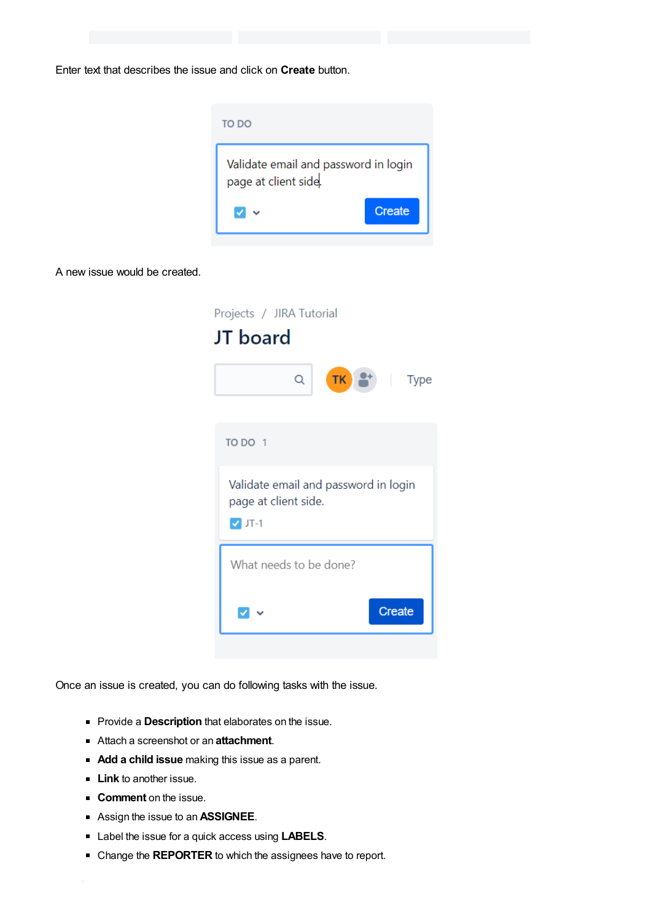Enter text that describes the issue and click on **Create** button.



A new issue would be created.

| Projects / JIRA Tutorial<br><b>JT</b> board                                   |    |                                                                   |
|-------------------------------------------------------------------------------|----|-------------------------------------------------------------------|
| Q                                                                             | TK | $\begin{array}{ c c c c }\n\hline\n & & \text{Type}\n\end{array}$ |
| TO DO 1                                                                       |    |                                                                   |
| Validate email and password in login<br>page at client side.<br>$\nabla$ JT-1 |    |                                                                   |
| What needs to be done?                                                        |    |                                                                   |
|                                                                               |    | <b>Create</b>                                                     |

Once an issue is created, you can do following tasks with the issue.

- **Provide a Description that elaborates on the issue.**
- Attach a screenshot or an **attachment**.
- **Add a child issue** making this issue as a parent.
- **Link** to another issue.
- **Comment** on the issue.
- Assign the issue to an **ASSIGNEE**.
- Label the issue for a quick access using **LABELS**.
- Change the **REPORTER** to which the assignees have to report.